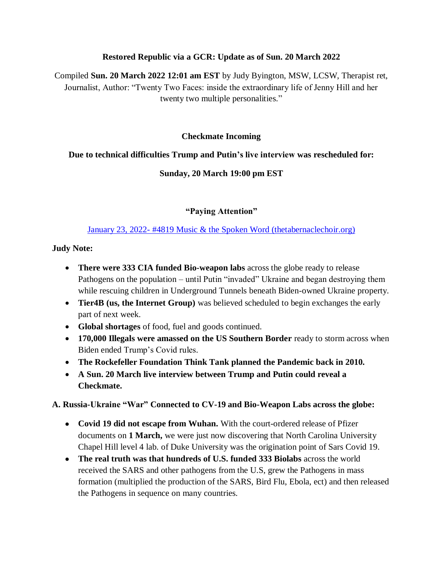#### **Restored Republic via a GCR: Update as of Sun. 20 March 2022**

Compiled **Sun. 20 March 2022 12:01 am EST** by Judy Byington, MSW, LCSW, Therapist ret, Journalist, Author: "Twenty Two Faces: inside the extraordinary life of Jenny Hill and her twenty two multiple personalities."

### **Checkmate Incoming**

### **Due to technical difficulties Trump and Putin"s live interview was rescheduled for:**

## **Sunday, 20 March 19:00 pm EST**

## **"Paying Attention"**

### January 23, 2022- [#4819 Music & the Spoken Word \(thetabernaclechoir.org\)](https://www.thetabernaclechoir.org/videos/january-23-2022-4819-music-and-the-spoken-word.html)

#### **Judy Note:**

- **There were 333 CIA funded Bio-weapon labs** across the globe ready to release Pathogens on the population – until Putin "invaded" Ukraine and began destroying them while rescuing children in Underground Tunnels beneath Biden-owned Ukraine property.
- **Tier4B (us, the Internet Group)** was believed scheduled to begin exchanges the early part of next week.
- **Global shortages** of food, fuel and goods continued.
- **170,000 Illegals were amassed on the US Southern Border** ready to storm across when Biden ended Trump's Covid rules.
- **The Rockefeller Foundation Think Tank planned the Pandemic back in 2010.**
- **A Sun. 20 March live interview between Trump and Putin could reveal a Checkmate.**

**A. Russia-Ukraine "War" Connected to CV-19 and Bio-Weapon Labs across the globe:**

- **Covid 19 did not escape from Wuhan.** With the court-ordered release of Pfizer documents on **1 March,** we were just now discovering that North Carolina University Chapel Hill level 4 lab. of Duke University was the origination point of Sars Covid 19.
- **The real truth was that hundreds of U.S. funded 333 Biolabs** across the world received the SARS and other pathogens from the U.S, grew the Pathogens in mass formation (multiplied the production of the SARS, Bird Flu, Ebola, ect) and then released the Pathogens in sequence on many countries.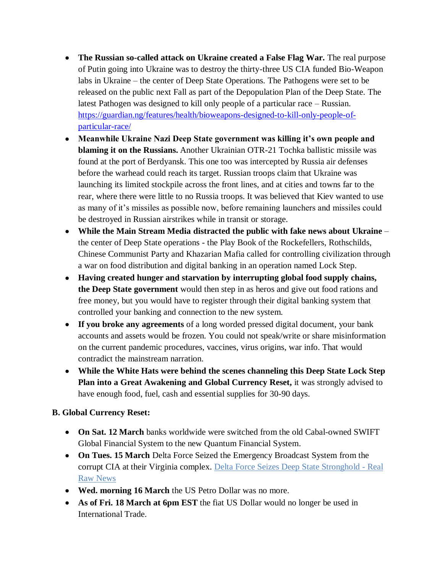- **The Russian so-called attack on Ukraine created a False Flag War.** The real purpose of Putin going into Ukraine was to destroy the thirty-three US CIA funded Bio-Weapon labs in Ukraine – the center of Deep State Operations. The Pathogens were set to be released on the public next Fall as part of the Depopulation Plan of the Deep State. The latest Pathogen was designed to kill only people of a particular race – Russian. [https://guardian.ng/features/health/bioweapons-designed-to-kill-only-people-of](https://guardian.ng/features/health/bioweapons-designed-to-kill-only-people-of-particular-race/)[particular-race/](https://guardian.ng/features/health/bioweapons-designed-to-kill-only-people-of-particular-race/)
- **Meanwhile Ukraine Nazi Deep State government was killing it's own people and blaming it on the Russians.** Another Ukrainian OTR-21 Tochka ballistic missile was found at the port of Berdyansk. This one too was intercepted by Russia air defenses before the warhead could reach its target. Russian troops claim that Ukraine was launching its limited stockpile across the front lines, and at cities and towns far to the rear, where there were little to no Russia troops. It was believed that Kiev wanted to use as many of it's missiles as possible now, before remaining launchers and missiles could be destroyed in Russian airstrikes while in transit or storage.
- **While the Main Stream Media distracted the public with fake news about Ukraine** the center of Deep State operations - the Play Book of the Rockefellers, Rothschilds, Chinese Communist Party and Khazarian Mafia called for controlling civilization through a war on food distribution and digital banking in an operation named Lock Step.
- **Having created hunger and starvation by interrupting global food supply chains, the Deep State government** would then step in as heros and give out food rations and free money, but you would have to register through their digital banking system that controlled your banking and connection to the new system.
- **If you broke any agreements** of a long worded pressed digital document, your bank accounts and assets would be frozen. You could not speak/write or share misinformation on the current pandemic procedures, vaccines, virus origins, war info. That would contradict the mainstream narration.
- **While the White Hats were behind the scenes channeling this Deep State Lock Step Plan into a Great Awakening and Global Currency Reset,** it was strongly advised to have enough food, fuel, cash and essential supplies for 30-90 days.

## **B. Global Currency Reset:**

- **On Sat. 12 March** banks worldwide were switched from the old Cabal-owned SWIFT Global Financial System to the new Quantum Financial System.
- **On Tues. 15 March** Delta Force Seized the Emergency Broadcast System from the corrupt CIA at their Virginia complex. [Delta Force Seizes Deep State Stronghold -](https://realrawnews.com/2022/03/delta-force-seizes-deep-state-stronghold/) Real [Raw News](https://realrawnews.com/2022/03/delta-force-seizes-deep-state-stronghold/)
- **Wed. morning 16 March** the US Petro Dollar was no more.
- **As of Fri. 18 March at 6pm EST** the fiat US Dollar would no longer be used in International Trade.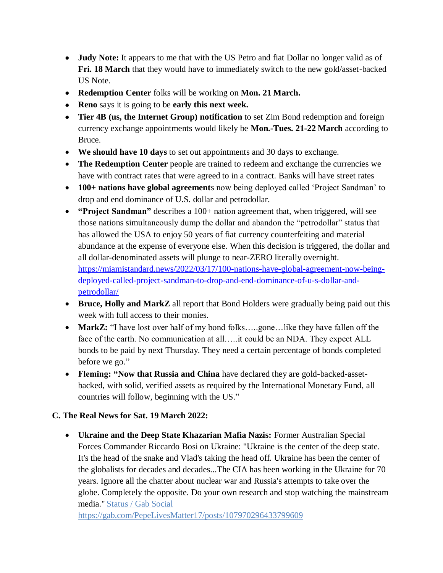- **Judy Note:** It appears to me that with the US Petro and fiat Dollar no longer valid as of **Fri. 18 March** that they would have to immediately switch to the new gold/asset-backed US Note.
- **Redemption Center** folks will be working on **Mon. 21 March.**
- **Reno** says it is going to be **early this next week.**
- **Tier 4B (us, the Internet Group) notification** to set Zim Bond redemption and foreign currency exchange appointments would likely be **Mon.-Tues. 21-22 March** according to Bruce.
- **We should have 10 days** to set out appointments and 30 days to exchange.
- **The Redemption Center** people are trained to redeem and exchange the currencies we have with contract rates that were agreed to in a contract. Banks will have street rates
- **100+ nations have global agreement**s now being deployed called 'Project Sandman' to drop and end dominance of U.S. dollar and petrodollar.
- **"Project Sandman"** describes a 100+ nation agreement that, when triggered, will see those nations simultaneously dump the dollar and abandon the "petrodollar" status that has allowed the USA to enjoy 50 years of fiat currency counterfeiting and material abundance at the expense of everyone else. When this decision is triggered, the dollar and all dollar-denominated assets will plunge to near-ZERO literally overnight. [https://miamistandard.news/2022/03/17/100-nations-have-global-agreement-now-being](https://miamistandard.news/2022/03/17/100-nations-have-global-agreement-now-being-deployed-called-project-sandman-to-drop-and-end-dominance-of-u-s-dollar-and-petrodollar/)[deployed-called-project-sandman-to-drop-and-end-dominance-of-u-s-dollar-and](https://miamistandard.news/2022/03/17/100-nations-have-global-agreement-now-being-deployed-called-project-sandman-to-drop-and-end-dominance-of-u-s-dollar-and-petrodollar/)[petrodollar/](https://miamistandard.news/2022/03/17/100-nations-have-global-agreement-now-being-deployed-called-project-sandman-to-drop-and-end-dominance-of-u-s-dollar-and-petrodollar/)
- **Bruce, Holly and MarkZ** all report that Bond Holders were gradually being paid out this week with full access to their monies.
- MarkZ: "I have lost over half of my bond folks....gone...like they have fallen off the face of the earth. No communication at all…..it could be an NDA. They expect ALL bonds to be paid by next Thursday. They need a certain percentage of bonds completed before we go."
- **Fleming: "Now that Russia and China** have declared they are gold-backed-assetbacked, with solid, verified assets as required by the International Monetary Fund, all countries will follow, beginning with the US."

## **C. The Real News for Sat. 19 March 2022:**

 **Ukraine and the Deep State Khazarian Mafia Nazis:** Former Australian Special Forces Commander Riccardo Bosi on Ukraine: "Ukraine is the center of the deep state. It's the head of the snake and Vlad's taking the head off. Ukraine has been the center of the globalists for decades and decades...The CIA has been working in the Ukraine for 70 years. Ignore all the chatter about nuclear war and Russia's attempts to take over the globe. Completely the opposite. Do your own research and stop watching the mainstream media." [Status / Gab Social](https://gab.com/PepeLivesMatter17/posts/107970296433799609)

<https://gab.com/PepeLivesMatter17/posts/107970296433799609>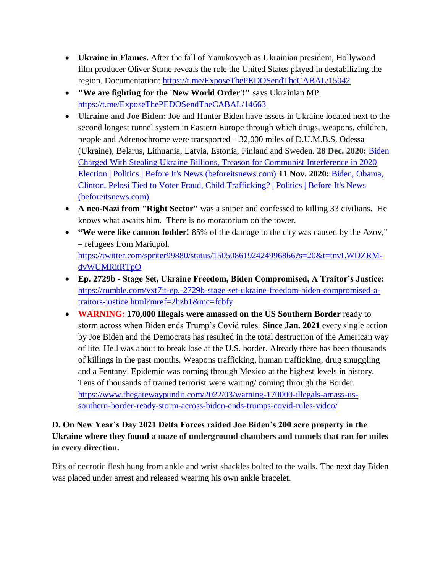- **Ukraine in Flames.** After the fall of Yanukovych as Ukrainian president, Hollywood film producer Oliver Stone reveals the role the United States played in destabilizing the region. Documentation: <https://t.me/ExposeThePEDOSendTheCABAL/15042>
- **"We are fighting for the 'New World Order'!"** says Ukrainian MP. <https://t.me/ExposeThePEDOSendTheCABAL/14663>
- **Ukraine and Joe Biden:** Joe and Hunter Biden have assets in Ukraine located next to the second longest tunnel system in Eastern Europe through which drugs, weapons, children, people and Adrenochrome were transported – 32,000 miles of D.U.M.B.S. Odessa (Ukraine), Belarus, Lithuania, Latvia, Estonia, Finland and Sweden. **28 Dec. 2020:** [Biden](https://beforeitsnews.com/politics/2020/12/biden-charged-with-stealing-ukraine-billions-treason-for-communist-interference-in-2020-election-3221786.html)  [Charged With Stealing Ukraine Billions, Treason for Communist Interference in 2020](https://beforeitsnews.com/politics/2020/12/biden-charged-with-stealing-ukraine-billions-treason-for-communist-interference-in-2020-election-3221786.html)  [Election | Politics | Before It's News \(beforeitsnews.com\)](https://beforeitsnews.com/politics/2020/12/biden-charged-with-stealing-ukraine-billions-treason-for-communist-interference-in-2020-election-3221786.html) **11 Nov. 2020:** [Biden, Obama,](https://beforeitsnews.com/politics/2020/11/biden-obama-clinton-pelosi-tied-to-voter-fraud-child-trafficking-3217778.html)  [Clinton, Pelosi Tied to Voter Fraud, Child Trafficking? | Politics | Before It's News](https://beforeitsnews.com/politics/2020/11/biden-obama-clinton-pelosi-tied-to-voter-fraud-child-trafficking-3217778.html)  [\(beforeitsnews.com\)](https://beforeitsnews.com/politics/2020/11/biden-obama-clinton-pelosi-tied-to-voter-fraud-child-trafficking-3217778.html)
- **A neo-Nazi from "Right Sector"** was a sniper and confessed to killing 33 civilians. He knows what awaits him. There is no moratorium on the tower.
- **"We were like cannon fodder!** 85% of the damage to the city was caused by the Azov," – refugees from Mariupol. [https://twitter.com/spriter99880/status/1505086192424996866?s=20&t=tnvLWDZRM](https://twitter.com/spriter99880/status/1505086192424996866?s=20&t=tnvLWDZRM-dvWUMRitRTpQ)[dvWUMRitRTpQ](https://twitter.com/spriter99880/status/1505086192424996866?s=20&t=tnvLWDZRM-dvWUMRitRTpQ)
- **Ep. 2729b - Stage Set, Ukraine Freedom, Biden Compromised, A Traitor"s Justice:**  [https://rumble.com/vxt7it-ep.-2729b-stage-set-ukraine-freedom-biden-compromised-a](https://rumble.com/vxt7it-ep.-2729b-stage-set-ukraine-freedom-biden-compromised-a-traitors-justice.html?mref=2hzb1&mc=fcbfy)[traitors-justice.html?mref=2hzb1&mc=fcbfy](https://rumble.com/vxt7it-ep.-2729b-stage-set-ukraine-freedom-biden-compromised-a-traitors-justice.html?mref=2hzb1&mc=fcbfy)
- **WARNING: 170,000 Illegals were amassed on the US Southern Border** ready to storm across when Biden ends Trump's Covid rules. **Since Jan. 2021** every single action by Joe Biden and the Democrats has resulted in the total destruction of the American way of life. Hell was about to break lose at the U.S. border. Already there has been thousands of killings in the past months. Weapons trafficking, human trafficking, drug smuggling and a Fentanyl Epidemic was coming through Mexico at the highest levels in history. Tens of thousands of trained terrorist were waiting/ coming through the Border. [https://www.thegatewaypundit.com/2022/03/warning-170000-illegals-amass-us](https://www.thegatewaypundit.com/2022/03/warning-170000-illegals-amass-us-southern-border-ready-storm-across-biden-ends-trumps-covid-rules-video/)[southern-border-ready-storm-across-biden-ends-trumps-covid-rules-video/](https://www.thegatewaypundit.com/2022/03/warning-170000-illegals-amass-us-southern-border-ready-storm-across-biden-ends-trumps-covid-rules-video/)

# **D. On New Year"s Day 2021 Delta Forces raided Joe Biden"s 200 acre property in the Ukraine where they found a maze of underground chambers and tunnels that ran for miles in every direction.**

Bits of necrotic flesh hung from ankle and wrist shackles bolted to the walls. The next day Biden was placed under arrest and released wearing his own ankle bracelet.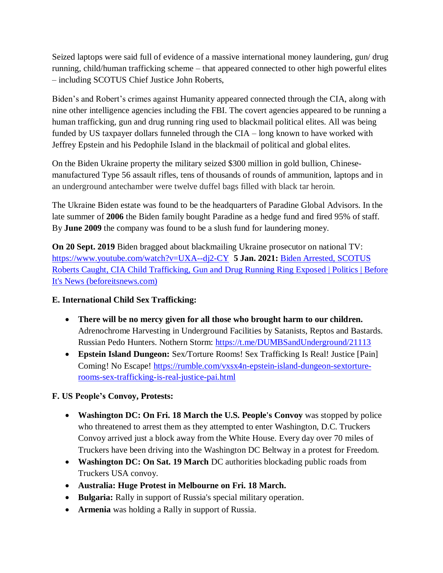Seized laptops were said full of evidence of a massive international money laundering, gun/ drug running, child/human trafficking scheme – that appeared connected to other high powerful elites – including SCOTUS Chief Justice John Roberts,

Biden's and Robert's crimes against Humanity appeared connected through the CIA, along with nine other intelligence agencies including the FBI. The covert agencies appeared to be running a human trafficking, gun and drug running ring used to blackmail political elites. All was being funded by US taxpayer dollars funneled through the CIA – long known to have worked with Jeffrey Epstein and his Pedophile Island in the blackmail of political and global elites.

On the Biden Ukraine property the military seized \$300 million in gold bullion, Chinesemanufactured Type 56 assault rifles, tens of thousands of rounds of ammunition, laptops and in an underground antechamber were twelve duffel bags filled with black tar heroin.

The Ukraine Biden estate was found to be the headquarters of Paradine Global Advisors. In the late summer of **2006** the Biden family bought Paradine as a hedge fund and fired 95% of staff. By **June 2009** the company was found to be a slush fund for laundering money.

**On 20 Sept. 2019** Biden bragged about blackmailing Ukraine prosecutor on national TV: <https://www.youtube.com/watch?v=UXA--dj2-CY>**5 Jan. 2021:** [Biden Arrested, SCOTUS](https://beforeitsnews.com/politics/2021/01/biden-arrested-scotus-roberts-caught-cia-child-trafficking-gun-and-drug-running-ring-exposed-3222415.html)  [Roberts Caught, CIA Child Trafficking, Gun and Drug Running Ring Exposed | Politics | Before](https://beforeitsnews.com/politics/2021/01/biden-arrested-scotus-roberts-caught-cia-child-trafficking-gun-and-drug-running-ring-exposed-3222415.html)  [It's News \(beforeitsnews.com\)](https://beforeitsnews.com/politics/2021/01/biden-arrested-scotus-roberts-caught-cia-child-trafficking-gun-and-drug-running-ring-exposed-3222415.html)

## **E. International Child Sex Trafficking:**

- **There will be no mercy given for all those who brought harm to our children.** Adrenochrome Harvesting in Underground Facilities by Satanists, Reptos and Bastards. Russian Pedo Hunters. Nothern Storm:<https://t.me/DUMBSandUnderground/21113>
- **Epstein Island Dungeon:** Sex/Torture Rooms! Sex Trafficking Is Real! Justice [Pain] Coming! No Escape! [https://rumble.com/vxsx4n-epstein-island-dungeon-sextorture](https://rumble.com/vxsx4n-epstein-island-dungeon-sextorture-rooms-sex-trafficking-is-real-justice-pai.html)[rooms-sex-trafficking-is-real-justice-pai.html](https://rumble.com/vxsx4n-epstein-island-dungeon-sextorture-rooms-sex-trafficking-is-real-justice-pai.html)

# **F. US People"s Convoy, Protests:**

- **Washington DC: On Fri. 18 March the U.S. People's Convoy** was stopped by police who threatened to arrest them as they attempted to enter Washington, D.C. Truckers Convoy arrived just a block away from the White House. Every day over 70 miles of Truckers have been driving into the Washington DC Beltway in a protest for Freedom.
- **Washington DC: On Sat. 19 March** DC authorities blockading public roads from Truckers USA convoy.
- **Australia: Huge Protest in Melbourne on Fri. 18 March.**
- **Bulgaria:** Rally in support of Russia's special military operation.
- **Armenia** was holding a Rally in support of Russia.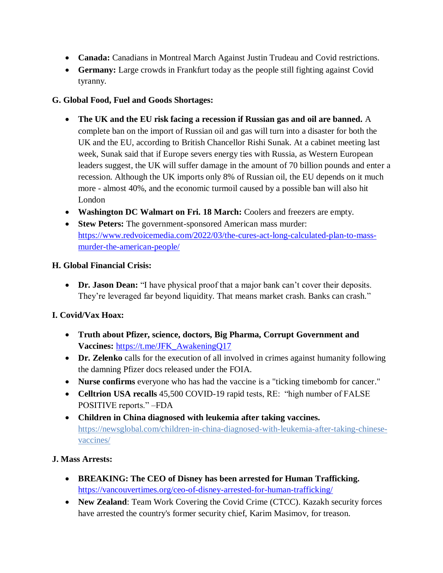- **Canada:** Canadians in Montreal March Against Justin Trudeau and Covid restrictions.
- **Germany:** Large crowds in Frankfurt today as the people still fighting against Covid tyranny.

## **G. Global Food, Fuel and Goods Shortages:**

- **The UK and the EU risk facing a recession if Russian gas and oil are banned.** A complete ban on the import of Russian oil and gas will turn into a disaster for both the UK and the EU, according to British Chancellor Rishi Sunak. At a cabinet meeting last week, Sunak said that if Europe severs energy ties with Russia, as Western European leaders suggest, the UK will suffer damage in the amount of 70 billion pounds and enter a recession. Although the UK imports only 8% of Russian oil, the EU depends on it much more - almost 40%, and the economic turmoil caused by a possible ban will also hit London
- **Washington DC Walmart on Fri. 18 March:** Coolers and freezers are empty.
- **Stew Peters:** The government-sponsored American mass murder: [https://www.redvoicemedia.com/2022/03/the-cures-act-long-calculated-plan-to-mass](https://www.redvoicemedia.com/2022/03/the-cures-act-long-calculated-plan-to-mass-murder-the-american-people/)[murder-the-american-people/](https://www.redvoicemedia.com/2022/03/the-cures-act-long-calculated-plan-to-mass-murder-the-american-people/)

### **H. Global Financial Crisis:**

• Dr. Jason Dean: "I have physical proof that a major bank can't cover their deposits. They're leveraged far beyond liquidity. That means market crash. Banks can crash."

## **I. Covid/Vax Hoax:**

- **Truth about Pfizer, science, doctors, Big Pharma, Corrupt Government and Vaccines:** [https://t.me/JFK\\_AwakeningQ17](https://t.me/JFK_AwakeningQ17)
- **Dr. Zelenko** calls for the execution of all involved in crimes against humanity following the damning Pfizer docs released under the FOIA.
- **Nurse confirms** everyone who has had the vaccine is a "ticking timebomb for cancer."
- Celltrion USA recalls 45,500 COVID-19 rapid tests, RE: "high number of FALSE POSITIVE reports." –FDA
- **Children in China diagnosed with leukemia after taking vaccines.**  [https://newsglobal.com/children-in-china-diagnosed-with-leukemia-after-taking-chinese](https://newsglobal.com/children-in-china-diagnosed-with-leukemia-after-taking-chinese-vaccines/)[vaccines/](https://newsglobal.com/children-in-china-diagnosed-with-leukemia-after-taking-chinese-vaccines/)

#### **J. Mass Arrests:**

- **BREAKING: The CEO of Disney has been arrested for Human Trafficking.**  <https://vancouvertimes.org/ceo-of-disney-arrested-for-human-trafficking/>
- **New Zealand**: Team Work Covering the Covid Crime (CTCC). Kazakh security forces have arrested the country's former security chief, Karim Masimov, for treason.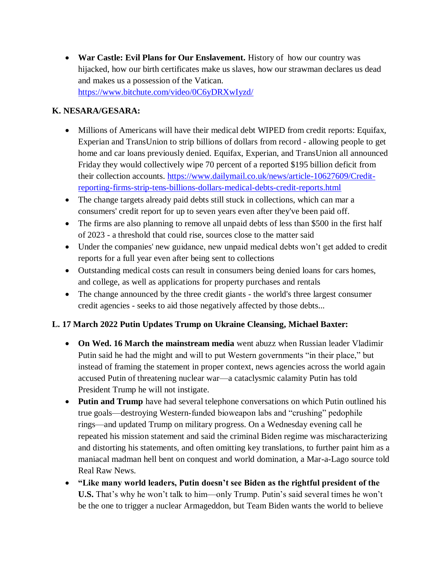**War Castle: Evil Plans for Our Enslavement.** History of how our country was hijacked, how our birth certificates make us slaves, how our strawman declares us dead and makes us a possession of the Vatican. <https://www.bitchute.com/video/0C6yDRXwIyzd/>

#### **K. NESARA/GESARA:**

- Millions of Americans will have their medical debt WIPED from credit reports: Equifax, Experian and TransUnion to strip billions of dollars from record - allowing people to get home and car loans previously denied. Equifax, Experian, and TransUnion all announced Friday they would collectively wipe 70 percent of a reported \$195 billion deficit from their collection accounts. [https://www.dailymail.co.uk/news/article-10627609/Credit](https://www.dailymail.co.uk/news/article-10627609/Credit-reporting-firms-strip-tens-billions-dollars-medical-debts-credit-reports.html)[reporting-firms-strip-tens-billions-dollars-medical-debts-credit-reports.html](https://www.dailymail.co.uk/news/article-10627609/Credit-reporting-firms-strip-tens-billions-dollars-medical-debts-credit-reports.html)
- The change targets already paid debts still stuck in collections, which can mar a consumers' credit report for up to seven years even after they've been paid off.
- The firms are also planning to remove all unpaid debts of less than \$500 in the first half of 2023 - a threshold that could rise, sources close to the matter said
- Under the companies' new guidance, new unpaid medical debts won't get added to credit reports for a full year even after being sent to collections
- Outstanding medical costs can result in consumers being denied loans for cars homes, and college, as well as applications for property purchases and rentals
- The change announced by the three credit giants the world's three largest consumer credit agencies - seeks to aid those negatively affected by those debts...

## **L. 17 March 2022 Putin Updates Trump on Ukraine Cleansing, Michael Baxter:**

- **On Wed. 16 March the mainstream media** went abuzz when Russian leader Vladimir Putin said he had the might and will to put Western governments "in their place," but instead of framing the statement in proper context, news agencies across the world again accused Putin of threatening nuclear war—a cataclysmic calamity Putin has told President Trump he will not instigate.
- **Putin and Trump** have had several telephone conversations on which Putin outlined his true goals—destroying Western-funded bioweapon labs and "crushing" pedophile rings—and updated Trump on military progress. On a Wednesday evening call he repeated his mission statement and said the criminal Biden regime was mischaracterizing and distorting his statements, and often omitting key translations, to further paint him as a maniacal madman hell bent on conquest and world domination, a Mar-a-Lago source told Real Raw News.
- **"Like many world leaders, Putin doesn"t see Biden as the rightful president of the U.S.** That's why he won't talk to him—only Trump. Putin's said several times he won't be the one to trigger a nuclear Armageddon, but Team Biden wants the world to believe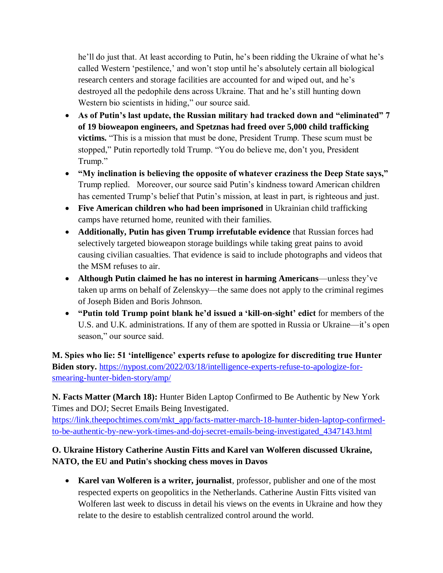he'll do just that. At least according to Putin, he's been ridding the Ukraine of what he's called Western 'pestilence,' and won't stop until he's absolutely certain all biological research centers and storage facilities are accounted for and wiped out, and he's destroyed all the pedophile dens across Ukraine. That and he's still hunting down Western bio scientists in hiding," our source said.

- **As of Putin"s last update, the Russian military had tracked down and "eliminated" 7 of 19 bioweapon engineers, and Spetznas had freed over 5,000 child trafficking victims.** "This is a mission that must be done, President Trump. These scum must be stopped," Putin reportedly told Trump. "You do believe me, don't you, President Trump."
- **"My inclination is believing the opposite of whatever craziness the Deep State says,"** Trump replied. Moreover, our source said Putin's kindness toward American children has cemented Trump's belief that Putin's mission, at least in part, is righteous and just.
- **Five American children who had been imprisoned** in Ukrainian child trafficking camps have returned home, reunited with their families.
- **Additionally, Putin has given Trump irrefutable evidence** that Russian forces had selectively targeted bioweapon storage buildings while taking great pains to avoid causing civilian casualties. That evidence is said to include photographs and videos that the MSM refuses to air.
- **Although Putin claimed he has no interest in harming Americans**—unless they've taken up arms on behalf of Zelenskyy—the same does not apply to the criminal regimes of Joseph Biden and Boris Johnson.
- **"Putin told Trump point blank he"d issued a "kill-on-sight" edict** for members of the U.S. and U.K. administrations. If any of them are spotted in Russia or Ukraine—it's open season," our source said.

**M. Spies who lie: 51 "intelligence" experts refuse to apologize for discrediting true Hunter Biden story.** [https://nypost.com/2022/03/18/intelligence-experts-refuse-to-apologize-for](https://nypost.com/2022/03/18/intelligence-experts-refuse-to-apologize-for-smearing-hunter-biden-story/amp/)[smearing-hunter-biden-story/amp/](https://nypost.com/2022/03/18/intelligence-experts-refuse-to-apologize-for-smearing-hunter-biden-story/amp/)

**N. Facts Matter (March 18):** Hunter Biden Laptop Confirmed to Be Authentic by New York Times and DOJ; Secret Emails Being Investigated.

[https://link.theepochtimes.com/mkt\\_app/facts-matter-march-18-hunter-biden-laptop-confirmed](https://link.theepochtimes.com/mkt_app/facts-matter-march-18-hunter-biden-laptop-confirmed-to-be-authentic-by-new-york-times-and-doj-secret-emails-being-investigated_4347143.html)[to-be-authentic-by-new-york-times-and-doj-secret-emails-being-investigated\\_4347143.html](https://link.theepochtimes.com/mkt_app/facts-matter-march-18-hunter-biden-laptop-confirmed-to-be-authentic-by-new-york-times-and-doj-secret-emails-being-investigated_4347143.html)

# **O. Ukraine History Catherine Austin Fitts and Karel van Wolferen discussed Ukraine, NATO, the EU and Putin's shocking chess moves in Davos**

 **Karel van Wolferen is a writer, journalist**, professor, publisher and one of the most respected experts on geopolitics in the Netherlands. Catherine Austin Fitts visited van Wolferen last week to discuss in detail his views on the events in Ukraine and how they relate to the desire to establish centralized control around the world.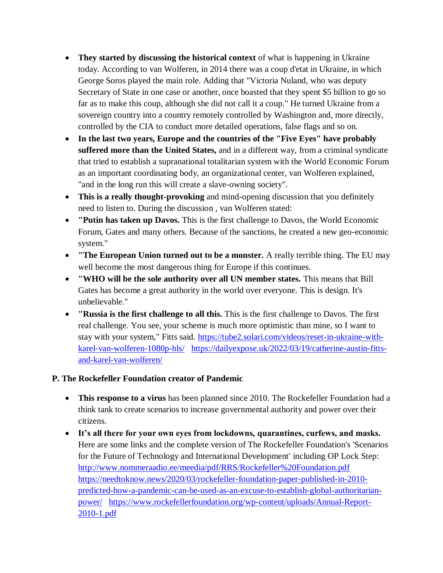- **They started by discussing the historical context** of what is happening in Ukraine today. According to van Wolferen, in 2014 there was a coup d'etat in Ukraine, in which George Soros played the main role. Adding that "Victoria Nuland, who was deputy Secretary of State in one case or another, once boasted that they spent \$5 billion to go so far as to make this coup, although she did not call it a coup." He turned Ukraine from a sovereign country into a country remotely controlled by Washington and, more directly, controlled by the CIA to conduct more detailed operations, false flags and so on.
- **In the last two years, Europe and the countries of the "Five Eyes" have probably suffered more than the United States,** and in a different way, from a criminal syndicate that tried to establish a supranational totalitarian system with the World Economic Forum as an important coordinating body, an organizational center, van Wolferen explained, "and in the long run this will create a slave-owning society".
- **This is a really thought-provoking** and mind-opening discussion that you definitely need to listen to. During the discussion , van Wolferen stated:
- **"Putin has taken up Davos.** This is the first challenge to Davos, the World Economic Forum, Gates and many others. Because of the sanctions, he created a new geo-economic system."
- **"The European Union turned out to be a monster.** A really terrible thing. The EU may well become the most dangerous thing for Europe if this continues.
- **"WHO will be the sole authority over all UN member states.** This means that Bill Gates has become a great authority in the world over everyone. This is design. It's unbelievable."
- **"Russia is the first challenge to all this.** This is the first challenge to Davos. The first real challenge. You see, your scheme is much more optimistic than mine, so I want to stay with your system," Fitts said. [https://tube2.solari.com/videos/reset-in-ukraine-with](https://tube2.solari.com/videos/reset-in-ukraine-with-karel-van-wolferen-1080p-hls/)[karel-van-wolferen-1080p-hls/](https://tube2.solari.com/videos/reset-in-ukraine-with-karel-van-wolferen-1080p-hls/) [https://dailyexpose.uk/2022/03/19/catherine-austin-fitts](https://dailyexpose.uk/2022/03/19/catherine-austin-fitts-and-karel-van-wolferen/)[and-karel-van-wolferen/](https://dailyexpose.uk/2022/03/19/catherine-austin-fitts-and-karel-van-wolferen/)

## **P. The Rockefeller Foundation creator of Pandemic**

- **This response to a virus** has been planned since 2010. The Rockefeller Foundation had a think tank to create scenarios to increase governmental authority and power over their citizens.
- **It"s all there for your own eyes from lockdowns, quarantines, curfews, and masks.** Here are some links and the complete version of The Rockefeller Foundation's 'Scenarios for the Future of Technology and International Development' including OP Lock Step: <http://www.nommeraadio.ee/meedia/pdf/RRS/Rockefeller%20Foundation.pdf> [https://needtoknow.news/2020/03/rockefeller-foundation-paper-published-in-2010](https://needtoknow.news/2020/03/rockefeller-foundation-paper-published-in-2010-predicted-how-a-pandemic-can-be-used-as-an-excuse-to-establish-global-authoritarian-power/) [predicted-how-a-pandemic-can-be-used-as-an-excuse-to-establish-global-authoritarian](https://needtoknow.news/2020/03/rockefeller-foundation-paper-published-in-2010-predicted-how-a-pandemic-can-be-used-as-an-excuse-to-establish-global-authoritarian-power/)[power/](https://needtoknow.news/2020/03/rockefeller-foundation-paper-published-in-2010-predicted-how-a-pandemic-can-be-used-as-an-excuse-to-establish-global-authoritarian-power/) [https://www.rockefellerfoundation.org/wp-content/uploads/Annual-Report-](https://www.rockefellerfoundation.org/wp-content/uploads/Annual-Report-2010-1.pdf)[2010-1.pdf](https://www.rockefellerfoundation.org/wp-content/uploads/Annual-Report-2010-1.pdf)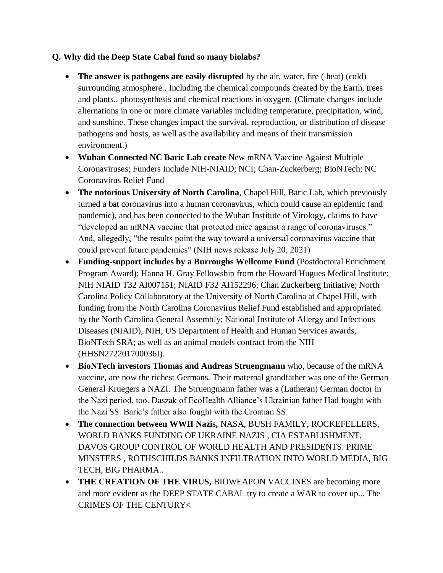### **Q. Why did the Deep State Cabal fund so many biolabs?**

- **The answer is pathogens are easily disrupted** by the air, water, fire ( heat) (cold) surrounding atmosphere.. Including the chemical compounds created by the Earth, trees and plants.. photosynthesis and chemical reactions in oxygen. (Climate changes include alternations in one or more climate variables including temperature, precipitation, wind, and sunshine. These changes impact the survival, reproduction, or distribution of disease pathogens and hosts, as well as the availability and means of their transmission environment.)
- **Wuhan Connected NC Baric Lab create** New mRNA Vaccine Against Multiple Coronaviruses; Funders Include NIH-NIAID; NCI; Chan-Zuckerberg; BioNTech; NC Coronavirus Relief Fund
- **The notorious University of North Carolina**, Chapel Hill, Baric Lab, which previously turned a bat coronavirus into a human coronavirus, which could cause an epidemic (and pandemic), and has been connected to the Wuhan Institute of Virology, claims to have "developed an mRNA vaccine that protected mice against a range of coronaviruses." And, allegedly, "the results point the way toward a universal coronavirus vaccine that could prevent future pandemics" (NIH news release July 20, 2021)
- **Funding-support includes by a Burroughs Wellcome Fund** (Postdoctoral Enrichment Program Award); Hanna H. Gray Fellowship from the Howard Hugues Medical Institute; NIH NIAID T32 AI007151; NIAID F32 AI152296; Chan Zuckerberg Initiative; North Carolina Policy Collaboratory at the University of North Carolina at Chapel Hill, with funding from the North Carolina Coronavirus Relief Fund established and appropriated by the North Carolina General Assembly; National Institute of Allergy and Infectious Diseases (NIAID), NIH, US Department of Health and Human Services awards, BioNTech SRA; as well as an animal models contract from the NIH (HHSN272201700036I).
- **BioNTech investors Thomas and Andreas Struengmann** who, because of the mRNA vaccine, are now the richest Germans. Their maternal grandfather was one of the German General Kruegers a NAZI. The Struengmann father was a (Lutheran) German doctor in the Nazi period, too. Daszak of EcoHealth Alliance's Ukrainian father Had fought with the Nazi SS. Baric's father also fought with the Croatian SS.
- **The connection between WWII Nazis,** NASA, BUSH FAMILY, ROCKEFELLERS, WORLD BANKS FUNDING OF UKRAINE NAZIS , CIA ESTABLISHMENT, DAVOS GROUP CONTROL OF WORLD HEALTH AND PRESIDENTS. PRIME MINSTERS , ROTHSCHILDS BANKS INFILTRATION INTO WORLD MEDIA, BIG TECH, BIG PHARMA..
- **THE CREATION OF THE VIRUS,** BIOWEAPON VACCINES are becoming more and more evident as the DEEP STATE CABAL try to create a WAR to cover up... The CRIMES OF THE CENTURY<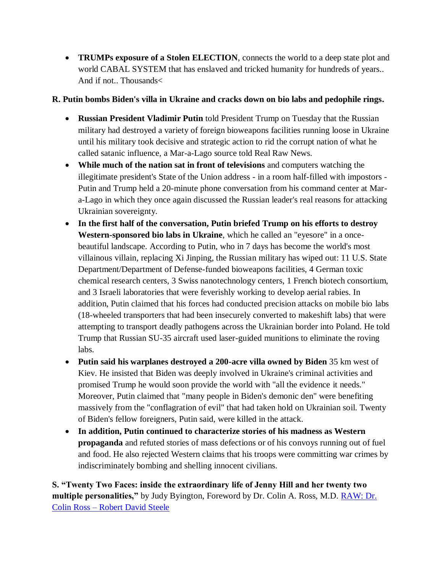**TRUMPs exposure of a Stolen ELECTION**, connects the world to a deep state plot and world CABAL SYSTEM that has enslaved and tricked humanity for hundreds of years.. And if not.. Thousands<

# **R. Putin bombs Biden's villa in Ukraine and cracks down on bio labs and pedophile rings.**

- **Russian President Vladimir Putin** told President Trump on Tuesday that the Russian military had destroyed a variety of foreign bioweapons facilities running loose in Ukraine until his military took decisive and strategic action to rid the corrupt nation of what he called satanic influence, a Mar-a-Lago source told Real Raw News.
- **While much of the nation sat in front of televisions** and computers watching the illegitimate president's State of the Union address - in a room half-filled with impostors - Putin and Trump held a 20-minute phone conversation from his command center at Mara-Lago in which they once again discussed the Russian leader's real reasons for attacking Ukrainian sovereignty.
- **In the first half of the conversation, Putin briefed Trump on his efforts to destroy Western-sponsored bio labs in Ukraine**, which he called an "eyesore" in a oncebeautiful landscape. According to Putin, who in 7 days has become the world's most villainous villain, replacing Xi Jinping, the Russian military has wiped out: 11 U.S. State Department/Department of Defense-funded bioweapons facilities, 4 German toxic chemical research centers, 3 Swiss nanotechnology centers, 1 French biotech consortium, and 3 Israeli laboratories that were feverishly working to develop aerial rabies. In addition, Putin claimed that his forces had conducted precision attacks on mobile bio labs (18-wheeled transporters that had been insecurely converted to makeshift labs) that were attempting to transport deadly pathogens across the Ukrainian border into Poland. He told Trump that Russian SU-35 aircraft used laser-guided munitions to eliminate the roving labs.
- **Putin said his warplanes destroyed a 200-acre villa owned by Biden** 35 km west of Kiev. He insisted that Biden was deeply involved in Ukraine's criminal activities and promised Trump he would soon provide the world with "all the evidence it needs." Moreover, Putin claimed that "many people in Biden's demonic den" were benefiting massively from the "conflagration of evil" that had taken hold on Ukrainian soil. Twenty of Biden's fellow foreigners, Putin said, were killed in the attack.
- **In addition, Putin continued to characterize stories of his madness as Western propaganda** and refuted stories of mass defections or of his convoys running out of fuel and food. He also rejected Western claims that his troops were committing war crimes by indiscriminately bombing and shelling innocent civilians.

**S. "Twenty Two Faces: inside the extraordinary life of Jenny Hill and her twenty two multiple personalities,"** by Judy Byington, Foreword by Dr. Colin A. Ross, M.D. [RAW: Dr.](https://robertdavidsteele.com/dr-colin-ross/)  Colin Ross – [Robert David Steele](https://robertdavidsteele.com/dr-colin-ross/)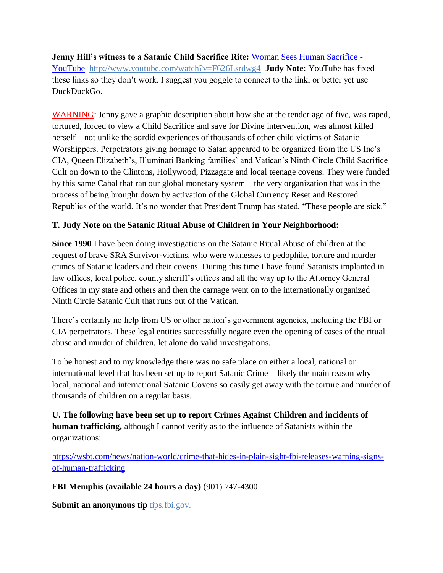**Jenny Hill"s witness to a Satanic Child Sacrifice Rite:** [Woman Sees Human Sacrifice -](https://www.youtube.com/watch?v=F626Lsrdwg4) [YouTube http://www.youtube.com/watch?v=F626Lsrdwg4](https://www.youtube.com/watch?v=F626Lsrdwg4) **Judy Note:** YouTube has fixed these links so they don't work. I suggest you goggle to connect to the link, or better yet use DuckDuckGo.

WARNING: Jenny gave a graphic description about how she at the tender age of five, was raped, tortured, forced to view a Child Sacrifice and save for Divine intervention, was almost killed herself – not unlike the sordid experiences of thousands of other child victims of Satanic Worshippers. Perpetrators giving homage to Satan appeared to be organized from the US Inc's CIA, Queen Elizabeth's, Illuminati Banking families' and Vatican's Ninth Circle Child Sacrifice Cult on down to the Clintons, Hollywood, Pizzagate and local teenage covens. They were funded by this same Cabal that ran our global monetary system – the very organization that was in the process of being brought down by activation of the Global Currency Reset and Restored Republics of the world. It's no wonder that President Trump has stated, "These people are sick."

## **T. Judy Note on the Satanic Ritual Abuse of Children in Your Neighborhood:**

**Since 1990** I have been doing investigations on the Satanic Ritual Abuse of children at the request of brave SRA Survivor-victims, who were witnesses to pedophile, torture and murder crimes of Satanic leaders and their covens. During this time I have found Satanists implanted in law offices, local police, county sheriff's offices and all the way up to the Attorney General Offices in my state and others and then the carnage went on to the internationally organized Ninth Circle Satanic Cult that runs out of the Vatican.

There's certainly no help from US or other nation's government agencies, including the FBI or CIA perpetrators. These legal entities successfully negate even the opening of cases of the ritual abuse and murder of children, let alone do valid investigations.

To be honest and to my knowledge there was no safe place on either a local, national or international level that has been set up to report Satanic Crime – likely the main reason why local, national and international Satanic Covens so easily get away with the torture and murder of thousands of children on a regular basis.

**U. The following have been set up to report Crimes Against Children and incidents of human trafficking,** although I cannot verify as to the influence of Satanists within the organizations:

[https://wsbt.com/news/nation-world/crime-that-hides-in-plain-sight-fbi-releases-warning-signs](https://wsbt.com/news/nation-world/crime-that-hides-in-plain-sight-fbi-releases-warning-signs-of-human-trafficking?video=e56ba52a1b9d45ad8c8a033fd83fe480&jwsource=cl)[of-human-trafficking](https://wsbt.com/news/nation-world/crime-that-hides-in-plain-sight-fbi-releases-warning-signs-of-human-trafficking?video=e56ba52a1b9d45ad8c8a033fd83fe480&jwsource=cl)

**FBI Memphis (available 24 hours a day)** (901) 747-4300

**Submit an anonymous tip** tips.fbi.gov.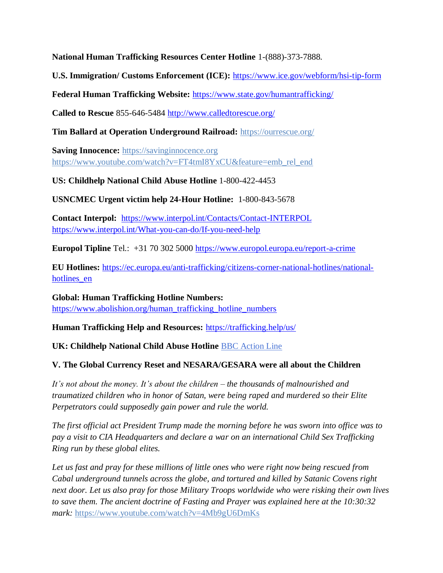**National Human Trafficking Resources Center Hotline** 1-(888)-373-7888.

**U.S. Immigration/ Customs Enforcement (ICE):** <https://www.ice.gov/webform/hsi-tip-form>

**Federal Human Trafficking Website:** <https://www.state.gov/humantrafficking/>

**Called to Rescue** 855-646-5484<http://www.calledtorescue.org/>

**Tim Ballard at Operation Underground Railroad:** <https://ourrescue.org/>

**Saving Innocence:** [https://savinginnocence.org](https://savinginnocence.org/) [https://www.youtube.com/watch?v=FT4tmI8YxCU&feature=emb\\_rel\\_end](https://www.youtube.com/watch?v=FT4tmI8YxCU&feature=emb_rel_end)

**US: Childhelp National Child Abuse Hotline** 1-800-422-4453

**USNCMEC Urgent victim help 24-Hour Hotline:** 1-800-843-5678

**Contact Interpol:** <https://www.interpol.int/Contacts/Contact-INTERPOL> <https://www.interpol.int/What-you-can-do/If-you-need-help>

**Europol Tipline** Tel.: +31 70 302 5000<https://www.europol.europa.eu/report-a-crime>

**EU Hotlines:** [https://ec.europa.eu/anti-trafficking/citizens-corner-national-hotlines/national](https://ec.europa.eu/anti-trafficking/citizens-corner-national-hotlines/national-hotlines_en)[hotlines\\_en](https://ec.europa.eu/anti-trafficking/citizens-corner-national-hotlines/national-hotlines_en)

**Global: Human Trafficking Hotline Numbers:** [https://www.abolishion.org/human\\_trafficking\\_hotline\\_numbers](https://www.abolishion.org/human_trafficking_hotline_numbers)\_

**Human Trafficking Help and Resources:** <https://trafficking.help/us/>

**UK: Childhelp National Child Abuse Hotline** [BBC Action Line](https://www.bbc.co.uk/actionline)

## **V. The Global Currency Reset and NESARA/GESARA were all about the Children**

*It's not about the money. It's about the children – the thousands of malnourished and traumatized children who in honor of Satan, were being raped and murdered so their Elite Perpetrators could supposedly gain power and rule the world.* 

*The first official act President Trump made the morning before he was sworn into office was to pay a visit to CIA Headquarters and declare a war on an international Child Sex Trafficking Ring run by these global elites.* 

*Let us fast and pray for these millions of little ones who were right now being rescued from Cabal underground tunnels across the globe, and tortured and killed by Satanic Covens right next door. Let us also pray for those Military Troops worldwide who were risking their own lives to save them. The ancient doctrine of Fasting and Prayer was explained here at the 10:30:32 mark:* <https://www.youtube.com/watch?v=4Mb9gU6DmKs>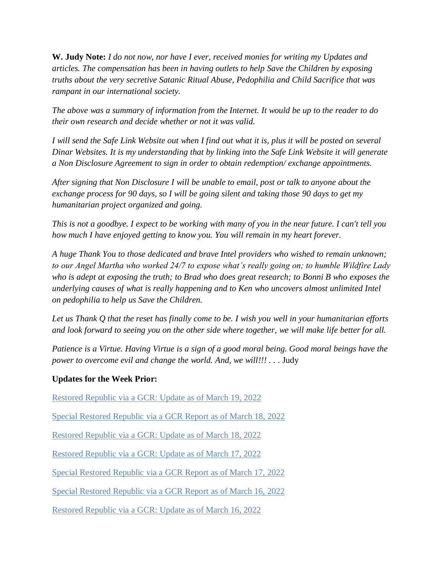**W. Judy Note:** *I do not now, nor have I ever, received monies for writing my Updates and articles. The compensation has been in having outlets to help Save the Children by exposing truths about the very secretive Satanic Ritual Abuse, Pedophilia and Child Sacrifice that was rampant in our international society.*

*The above was a summary of information from the Internet. It would be up to the reader to do their own research and decide whether or not it was valid.*

*I will send the Safe Link Website out when I find out what it is, plus it will be posted on several Dinar Websites. It is my understanding that by linking into the Safe Link Website it will generate a Non Disclosure Agreement to sign in order to obtain redemption/ exchange appointments.*

*After signing that Non Disclosure I will be unable to email, post or talk to anyone about the exchange process for 90 days, so I will be going silent and taking those 90 days to get my humanitarian project organized and going.*

*This is not a goodbye. I expect to be working with many of you in the near future. I can't tell you how much I have enjoyed getting to know you. You will remain in my heart forever.*

*A huge Thank You to those dedicated and brave Intel providers who wished to remain unknown; to our Angel Martha who worked 24/7 to expose what's really going on; to humble Wildfire Lady who is adept at exposing the truth; to Brad who does great research; to Bonni B who exposes the underlying causes of what is really happening and to Ken who uncovers almost unlimited Intel on pedophilia to help us Save the Children.*

*Let us Thank Q that the reset has finally come to be. I wish you well in your humanitarian efforts and look forward to seeing you on the other side where together, we will make life better for all.*

*Patience is a Virtue. Having Virtue is a sign of a good moral being. Good moral beings have the power to overcome evil and change the world. And, we will!!!* . . . Judy

#### **Updates for the Week Prior:**

[Restored Republic via a GCR: Update](https://operationdisclosureofficial.com/2022/03/19/restored-republic-via-a-gcr-as-of-march-19-2022/) as of March 19, 2022

[Special Restored Republic via a GCR Report as of March 18, 2022](https://operationdisclosureofficial.com/2022/03/18/special-restored-republic-via-a-gcr-report-as-of-march-18-2022/)

[Restored Republic via a GCR: Update as of March 18, 2022](https://operationdisclosureofficial.com/2022/03/18/restored-republic-via-a-gcr-as-of-march-18-2022/)

[Restored Republic via a GCR: Update as of March 17, 2022](https://operationdisclosureofficial.com/2022/03/17/restored-republic-via-a-gcr-as-of-march-17-2022/)

[Special Restored Republic via a GCR Report as of March 17, 2022](https://operationdisclosureofficial.com/2022/03/17/special-restored-republic-via-a-gcr-report-as-of-march-17-2022/)

[Special Restored Republic via a GCR Report as of March 16, 2022](https://operationdisclosureofficial.com/2022/03/16/special-restored-republic-via-a-gcr-report-as-of-march-15-2022-2/)

[Restored Republic via a GCR: Update as of March 16, 2022](https://operationdisclosureofficial.com/2022/03/16/restored-republic-via-a-gcr-as-of-march-16-2022/)